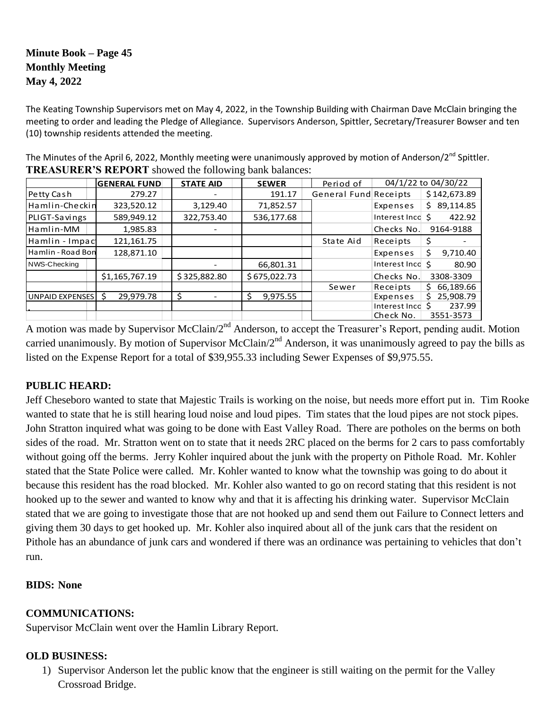# **Minute Book – Page 45 Monthly Meeting May 4, 2022**

The Keating Township Supervisors met on May 4, 2022, in the Township Building with Chairman Dave McClain bringing the meeting to order and leading the Pledge of Allegiance. Supervisors Anderson, Spittler, Secretary/Treasurer Bowser and ten (10) township residents attended the meeting.

The Minutes of the April 6, 2022, Monthly meeting were unanimously approved by motion of Anderson/2<sup>nd</sup> Spittler. **TREASURER'S REPORT** showed the following bank balances:

|                   | <b>GENERAL FUND</b> | <b>STATE AID</b> | <b>SEWER</b>  | Period of             | 04/1/22 to 04/30/22 |                 |
|-------------------|---------------------|------------------|---------------|-----------------------|---------------------|-----------------|
| Petty Cash        | 279.27              |                  | 191.17        | General Fund Receipts |                     | \$142,673.89    |
| Hamlin-Checkin    | 323,520.12          | 3,129.40         | 71,852.57     |                       | Expenses            | 89,114.85<br>Ś. |
| PLIGT-Savings     | 589,949.12          | 322,753.40       | 536,177.68    |                       | Interest Inco       | 422.92<br>Ś     |
| Hamlin-MM         | 1,985.83            |                  |               |                       | Checks No.          | 9164-9188       |
| Hamlin - Impac    | 121,161.75          |                  |               | State Aid             | Receipts            | \$              |
| Hamlin - Road Bon | 128,871.10          |                  |               |                       | Expenses            | \$<br>9,710.40  |
| NWS-Checking      |                     |                  | 66,801.31     |                       | Interest Inco \$    | 80.90           |
|                   | \$1,165,767.19      | \$325,882.80     | \$675,022.73  |                       | Checks No.          | 3308-3309       |
|                   |                     |                  |               | Sewer                 | Receipts            | 66,189.66<br>S. |
| UNPAID EXPENSES S | 29,979.78           | \$               | 9,975.55<br>S |                       | Expenses            | 25,908.79<br>S  |
|                   |                     |                  |               |                       | Interest Inco       | 237.99          |
|                   |                     |                  |               |                       | Check No.           | 3551-3573       |

A motion was made by Supervisor McClain/2<sup>nd</sup> Anderson, to accept the Treasurer's Report, pending audit. Motion carried unanimously. By motion of Supervisor McClain/ $2^{nd}$  Anderson, it was unanimously agreed to pay the bills as listed on the Expense Report for a total of \$39,955.33 including Sewer Expenses of \$9,975.55.

### **PUBLIC HEARD:**

Jeff Cheseboro wanted to state that Majestic Trails is working on the noise, but needs more effort put in. Tim Rooke wanted to state that he is still hearing loud noise and loud pipes. Tim states that the loud pipes are not stock pipes. John Stratton inquired what was going to be done with East Valley Road. There are potholes on the berms on both sides of the road. Mr. Stratton went on to state that it needs 2RC placed on the berms for 2 cars to pass comfortably without going off the berms. Jerry Kohler inquired about the junk with the property on Pithole Road. Mr. Kohler stated that the State Police were called. Mr. Kohler wanted to know what the township was going to do about it because this resident has the road blocked. Mr. Kohler also wanted to go on record stating that this resident is not hooked up to the sewer and wanted to know why and that it is affecting his drinking water. Supervisor McClain stated that we are going to investigate those that are not hooked up and send them out Failure to Connect letters and giving them 30 days to get hooked up. Mr. Kohler also inquired about all of the junk cars that the resident on Pithole has an abundance of junk cars and wondered if there was an ordinance was pertaining to vehicles that don't run.

### **BIDS: None**

## **COMMUNICATIONS:**

Supervisor McClain went over the Hamlin Library Report.

## **OLD BUSINESS:**

1) Supervisor Anderson let the public know that the engineer is still waiting on the permit for the Valley Crossroad Bridge.